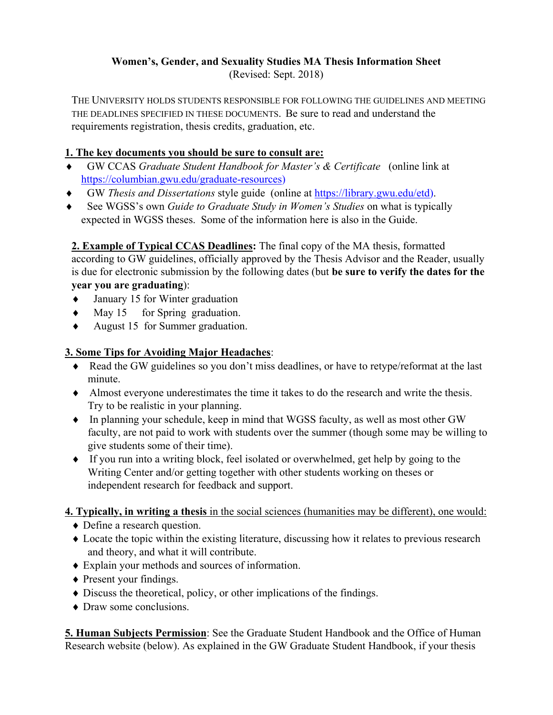## **Women's, Gender, and Sexuality Studies MA Thesis Information Sheet**

(Revised: Sept. 2018)

THE UNIVERSITY HOLDS STUDENTS RESPONSIBLE FOR FOLLOWING THE GUIDELINES AND MEETING THE DEADLINES SPECIFIED IN THESE DOCUMENTS. Be sure to read and understand the requirements registration, thesis credits, graduation, etc.

## **1. The key documents you should be sure to consult are:**

- ♦ GW CCAS *Graduate Student Handbook for Master's & Certificate* (online link at [https://columbian.gwu.edu/graduate-resources\)](https://columbian.gwu.edu/graduate-resources)
- ♦ GW *Thesis and Dissertations* style guide (online at [https://library.gwu.edu/etd\)](https://library.gwu.edu/etd).
- ♦ See WGSS's own *Guide to Graduate Study in Women's Studies* on what is typically expected in WGSS theses. Some of the information here is also in the Guide.

**2. Example of Typical CCAS Deadlines:** The final copy of the MA thesis, formatted according to GW guidelines, officially approved by the Thesis Advisor and the Reader, usually is due for electronic submission by the following dates (but **be sure to verify the dates for the year you are graduating**):

- ♦ January 15 for Winter graduation
- ♦ May 15 for Spring graduation.
- ♦ August 15 for Summer graduation.

# **3. Some Tips for Avoiding Major Headaches**:

- ♦ Read the GW guidelines so you don't miss deadlines, or have to retype/reformat at the last minute.
- ♦ Almost everyone underestimates the time it takes to do the research and write the thesis. Try to be realistic in your planning.
- ♦ In planning your schedule, keep in mind that WGSS faculty, as well as most other GW faculty, are not paid to work with students over the summer (though some may be willing to give students some of their time).
- ♦ If you run into a writing block, feel isolated or overwhelmed, get help by going to the Writing Center and/or getting together with other students working on theses or independent research for feedback and support.

**4. Typically, in writing a thesis** in the social sciences (humanities may be different), one would:

- ♦ Define a research question.
- ♦ Locate the topic within the existing literature, discussing how it relates to previous research and theory, and what it will contribute.
- ♦ Explain your methods and sources of information.
- ♦ Present your findings.
- ♦ Discuss the theoretical, policy, or other implications of the findings.
- ♦ Draw some conclusions.

**5. Human Subjects Permission**: See the Graduate Student Handbook and the Office of Human Research website (below). As explained in the GW Graduate Student Handbook, if your thesis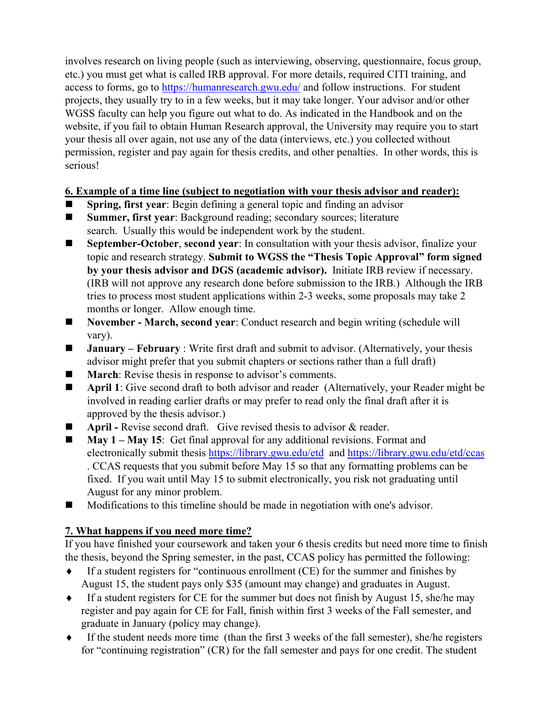involves research on living people (such as interviewing, observing, questionnaire, focus group, etc.) you must get what is called IRB approval. For more details, required CITI training, and access to forms, go to<https://humanresearch.gwu.edu/> and follow instructions. For student projects, they usually try to in a few weeks, but it may take longer. Your advisor and/or other WGSS faculty can help you figure out what to do. As indicated in the Handbook and on the website, if you fail to obtain Human Research approval, the University may require you to start your thesis all over again, not use any of the data (interviews, etc.) you collected without permission, register and pay again for thesis credits, and other penalties. In other words, this is serious!

#### **6. Example of a time line (subject to negotiation with your thesis advisor and reader):**

- **Spring, first year**: Begin defining a general topic and finding an advisor
- **Summer, first year**: Background reading; secondary sources; literature search. Usually this would be independent work by the student.
- **September-October**, **second year**: In consultation with your thesis advisor, finalize your topic and research strategy. **Submit to WGSS the "Thesis Topic Approval" form signed by your thesis advisor and DGS (academic advisor).** Initiate IRB review if necessary. (IRB will not approve any research done before submission to the IRB.) Although the IRB tries to process most student applications within 2-3 weeks, some proposals may take 2 months or longer. Allow enough time.
- **November March, second year**: Conduct research and begin writing (schedule will vary).
- **January February** : Write first draft and submit to advisor. (Alternatively, your thesis advisor might prefer that you submit chapters or sections rather than a full draft)
- **March:** Revise thesis in response to advisor's comments.
- **April 1**: Give second draft to both advisor and reader (Alternatively, your Reader might be involved in reading earlier drafts or may prefer to read only the final draft after it is approved by the thesis advisor.)
- **April -** Revise second draft. Give revised thesis to advisor & reader.
- **May 1 May 15**: Get final approval for any additional revisions. Format and electronically submit thesis <https://library.gwu.edu/etd>and<https://library.gwu.edu/etd/ccas> . CCAS requests that you submit before May 15 so that any formatting problems can be fixed. If you wait until May 15 to submit electronically, you risk not graduating until August for any minor problem.
- Modifications to this timeline should be made in negotiation with one's advisor.

### **7. What happens if you need more time?**

If you have finished your coursework and taken your 6 thesis credits but need more time to finish the thesis, beyond the Spring semester, in the past, CCAS policy has permitted the following:

- If a student registers for "continuous enrollment  $(CE)$  for the summer and finishes by August 15, the student pays only \$35 (amount may change) and graduates in August.
- ♦ If a student registers for CE for the summer but does not finish by August 15, she/he may register and pay again for CE for Fall, finish within first 3 weeks of the Fall semester, and graduate in January (policy may change).
- ♦ If the student needs more time (than the first 3 weeks of the fall semester), she/he registers for "continuing registration" (CR) for the fall semester and pays for one credit. The student